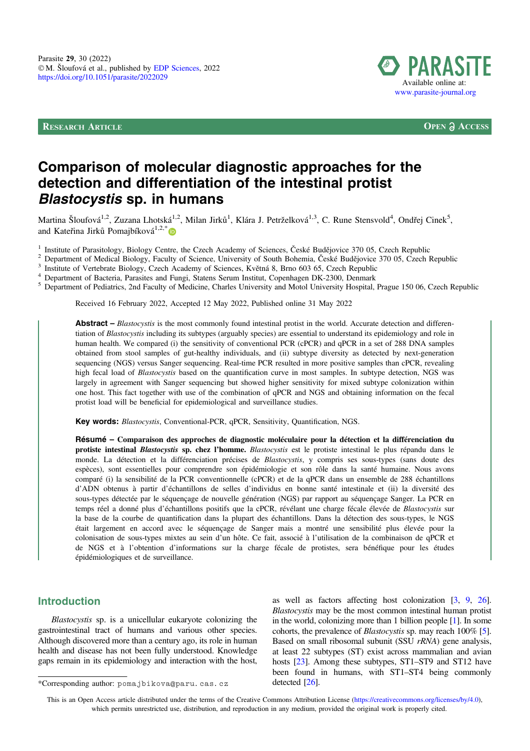

RESEARCH ARTICLE **OPEN ACCESS**

# Comparison of molecular diagnostic approaches for the detection and differentiation of the intestinal protist Blastocystis sp. in humans

Martina Šloufová<sup>1,2</sup>, Zuzana Lhotská<sup>1,2</sup>, Milan Jirků<sup>1</sup>, Klára J. Petrželková<sup>1,3</sup>, C. Rune Stensvold<sup>4</sup>, Ondřej Cinek<sup>5</sup>, and Kateřina Jirků Pomajbíková $1,2,^*$  $1,2,^*$ 

<sup>1</sup> Institute of Parasitology, Biology Centre, the Czech Academy of Sciences, České Budějovice 370 05, Czech Republic <sup>2</sup><br><sup>2</sup> Department of Medical Biology, Faculty of Science, University of South Bohemia, České Budějovic

Received 16 February 2022, Accepted 12 May 2022, Published online 31 May 2022

**Abstract** – *Blastocystis* is the most commonly found intestinal protist in the world. Accurate detection and differentiation of Blastocystis including its subtypes (arguably species) are essential to understand its epidemiology and role in human health. We compared (i) the sensitivity of conventional PCR (cPCR) and qPCR in a set of 288 DNA samples obtained from stool samples of gut-healthy individuals, and (ii) subtype diversity as detected by next-generation sequencing (NGS) versus Sanger sequencing. Real-time PCR resulted in more positive samples than cPCR, revealing high fecal load of *Blastocystis* based on the quantification curve in most samples. In subtype detection, NGS was largely in agreement with Sanger sequencing but showed higher sensitivity for mixed subtype colonization within one host. This fact together with use of the combination of qPCR and NGS and obtaining information on the fecal protist load will be beneficial for epidemiological and surveillance studies.

Key words: Blastocystis, Conventional-PCR, qPCR, Sensitivity, Quantification, NGS.

Résumé – Comparaison des approches de diagnostic moléculaire pour la détection et la différenciation du protiste intestinal Blastocystis sp. chez l'homme. Blastocystis est le protiste intestinal le plus répandu dans le monde. La détection et la différenciation précises de Blastocystis, y compris ses sous-types (sans doute des espèces), sont essentielles pour comprendre son épidémiologie et son rôle dans la santé humaine. Nous avons comparé (i) la sensibilité de la PCR conventionnelle (cPCR) et de la qPCR dans un ensemble de 288 échantillons d'ADN obtenus à partir d'échantillons de selles d'individus en bonne santé intestinale et (ii) la diversité des sous-types détectée par le séquençage de nouvelle génération (NGS) par rapport au séquençage Sanger. La PCR en temps réel a donné plus d'échantillons positifs que la cPCR, révélant une charge fécale élevée de Blastocystis sur la base de la courbe de quantification dans la plupart des échantillons. Dans la détection des sous-types, le NGS était largement en accord avec le séquençage de Sanger mais a montré une sensibilité plus élevée pour la colonisation de sous-types mixtes au sein d'un hôte. Ce fait, associé à l'utilisation de la combinaison de qPCR et de NGS et à l'obtention d'informations sur la charge fécale de protistes, sera bénéfique pour les études épidémiologiques et de surveillance.

### Introduction

Blastocystis sp. is a unicellular eukaryote colonizing the gastrointestinal tract of humans and various other species. Although discovered more than a century ago, its role in human health and disease has not been fully understood. Knowledge gaps remain in its epidemiology and interaction with the host,

as well as factors affecting host colonization [\[3](#page-5-0), [9,](#page-5-0) [26](#page-5-0)]. Blastocystis may be the most common intestinal human protist in the world, colonizing more than 1 billion people [\[1](#page-5-0)]. In some cohorts, the prevalence of Blastocystis sp. may reach 100% [\[5](#page-5-0)]. Based on small ribosomal subunit (SSU rRNA) gene analysis, at least 22 subtypes (ST) exist across mammalian and avian hosts [[23](#page-5-0)]. Among these subtypes, ST1–ST9 and ST12 have been found in humans, with ST1–ST4 being commonly

This is an Open Access article distributed under the terms of the Creative Commons Attribution License [\(https://creativecommons.org/licenses/by/4.0](https://creativecommons.org/licenses/by/4.0/)), which permits unrestricted use, distribution, and reproduction in any medium, provided the original work is properly cited.

<sup>\*</sup>Corresponding author: pomajbikova@paru.cas.cz detected [[26\]](#page-5-0).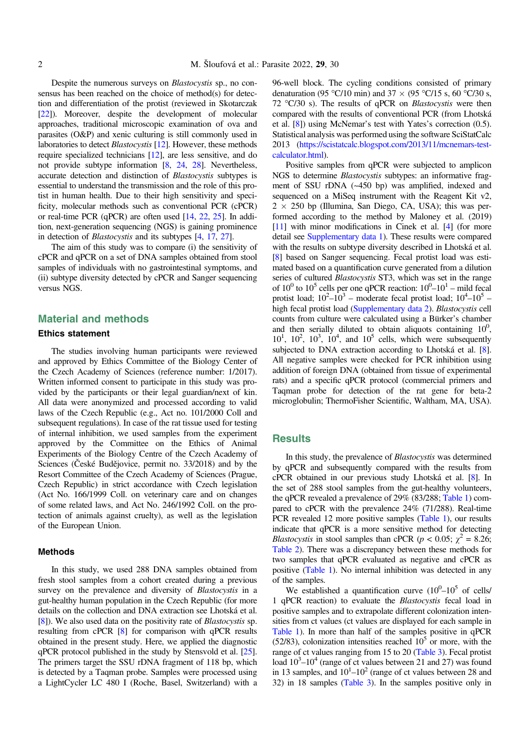Despite the numerous surveys on Blastocystis sp., no consensus has been reached on the choice of method(s) for detection and differentiation of the protist (reviewed in Skotarczak [[22](#page-5-0)]). Moreover, despite the development of molecular approaches, traditional microscopic examination of ova and parasites (O&P) and xenic culturing is still commonly used in laboratories to detect *Blastocystis* [\[12](#page-5-0)]. However, these methods require specialized technicians [[12](#page-5-0)], are less sensitive, and do not provide subtype information [[8](#page-5-0), [24](#page-5-0), [28\]](#page-6-0). Nevertheless, accurate detection and distinction of Blastocystis subtypes is essential to understand the transmission and the role of this protist in human health. Due to their high sensitivity and specificity, molecular methods such as conventional PCR (cPCR) or real-time PCR (qPCR) are often used [\[14](#page-5-0), [22,](#page-5-0) [25\]](#page-5-0). In addition, next-generation sequencing (NGS) is gaining prominence in detection of Blastocystis and its subtypes [[4,](#page-5-0) [17](#page-5-0), [27](#page-6-0)].

The aim of this study was to compare (i) the sensitivity of cPCR and qPCR on a set of DNA samples obtained from stool samples of individuals with no gastrointestinal symptoms, and (ii) subtype diversity detected by cPCR and Sanger sequencing versus NGS.

### Material and methods

#### Ethics statement

The studies involving human participants were reviewed and approved by Ethics Committee of the Biology Center of the Czech Academy of Sciences (reference number: 1/2017). Written informed consent to participate in this study was provided by the participants or their legal guardian/next of kin. All data were anonymized and processed according to valid laws of the Czech Republic (e.g., Act no. 101/2000 Coll and subsequent regulations). In case of the rat tissue used for testing of internal inhibition, we used samples from the experiment approved by the Committee on the Ethics of Animal Experiments of the Biology Centre of the Czech Academy of Sciences (České Budějovice, permit no. 33/2018) and by the Resort Committee of the Czech Academy of Sciences (Prague, Czech Republic) in strict accordance with Czech legislation (Act No. 166/1999 Coll. on veterinary care and on changes of some related laws, and Act No. 246/1992 Coll. on the protection of animals against cruelty), as well as the legislation of the European Union.

#### Methods

In this study, we used 288 DNA samples obtained from fresh stool samples from a cohort created during a previous survey on the prevalence and diversity of *Blastocystis* in a gut-healthy human population in the Czech Republic (for more details on the collection and DNA extraction see Lhotská et al. [[8](#page-5-0)]). We also used data on the positivity rate of Blastocystis sp. resulting from cPCR [[8](#page-5-0)] for comparison with qPCR results obtained in the present study. Here, we applied the diagnostic qPCR protocol published in the study by Stensvold et al. [\[25](#page-5-0)]. The primers target the SSU rDNA fragment of 118 bp, which is detected by a Taqman probe. Samples were processed using a LightCycler LC 480 I (Roche, Basel, Switzerland) with a 96-well block. The cycling conditions consisted of primary denaturation (95 °C/10 min) and 37  $\times$  (95 °C/15 s, 60 °C/30 s, 72  $\degree$ C/30 s). The results of qPCR on *Blastocystis* were then compared with the results of conventional PCR (from Lhotská et al. [[8](#page-5-0)]) using McNemar's test with Yates's correction (0.5). Statistical analysis was performed using the software SciStatCalc 2013 [\(https://scistatcalc.blogspot.com/2013/11/mcnemars-test](https://scistatcalc.blogspot.com/2013/11/mcnemars-test-calculator.html)[calculator.html\)](https://scistatcalc.blogspot.com/2013/11/mcnemars-test-calculator.html).

Positive samples from qPCR were subjected to amplicon NGS to determine Blastocystis subtypes: an informative fragment of SSU rDNA (~450 bp) was amplified, indexed and sequenced on a MiSeq instrument with the Reagent Kit v2,  $2 \times 250$  bp (Illumina, San Diego, CA, USA); this was performed according to the method by Maloney et al. (2019) [[11](#page-5-0)] with minor modifications in Cinek et al. [[4\]](#page-5-0) (for more detail see [Supplementary data 1](https://www.parasite-journal.org/10.1051/parasite/2022029/olm)). These results were compared with the results on subtype diversity described in Lhotská et al. [[8\]](#page-5-0) based on Sanger sequencing. Fecal protist load was estimated based on a quantification curve generated from a dilution series of cultured *Blastocystis* ST3, which was set in the range of  $10^0$  to  $10^5$  cells per one qPCR reaction:  $10^0$ – $10^1$  – mild fecal protist load;  $10^2 - 10^3$  – moderate fecal protist load;  $10^4 - 10^5$  – high fecal protist load [\(Supplementary data 2\)](https://www.parasite-journal.org/10.1051/parasite/2022029/olm). Blastocystis cell counts from culture were calculated using a Bürker's chamber and then serially diluted to obtain aliquots containing  $10^0$ ,  $10<sup>1</sup>$ ,  $10<sup>2</sup>$ ,  $10<sup>3</sup>$ ,  $10<sup>4</sup>$ , and  $10<sup>5</sup>$  cells, which were subsequently subjected to DNA extraction according to Lhotská et al. [\[8](#page-5-0)]. All negative samples were checked for PCR inhibition using addition of foreign DNA (obtained from tissue of experimental rats) and a specific qPCR protocol (commercial primers and Taqman probe for detection of the rat gene for beta-2 microglobulin; ThermoFisher Scientific, Waltham, MA, USA).

#### **Results**

In this study, the prevalence of Blastocystis was determined by qPCR and subsequently compared with the results from cPCR obtained in our previous study Lhotská et al. [[8\]](#page-5-0). In the set of 288 stool samples from the gut-healthy volunteers, the qPCR revealed a prevalence of 29% (83/288; [Table 1\)](#page-2-0) compared to cPCR with the prevalence 24% (71/288). Real-time PCR revealed 12 more positive samples ([Table 1\)](#page-2-0), our results indicate that qPCR is a more sensitive method for detecting *Blastocystis* in stool samples than cPCR ( $p < 0.05$ ;  $\chi^2 = 8.26$ ; [Table 2\)](#page-2-0). There was a discrepancy between these methods for two samples that qPCR evaluated as negative and cPCR as positive ([Table 1](#page-2-0)). No internal inhibition was detected in any of the samples.

We established a quantification curve  $(10^{0} - 10^{5}$  of cells/ 1 qPCR reaction) to evaluate the Blastocystis fecal load in positive samples and to extrapolate different colonization intensities from ct values (ct values are displayed for each sample in [Table 1](#page-2-0)). In more than half of the samples positive in qPCR (52/83), colonization intensities reached  $10<sup>5</sup>$  or more, with the range of ct values ranging from 15 to 20 [\(Table 3\)](#page-2-0). Fecal protist load  $10^3$ – $10^4$  (range of ct values between 21 and 27) was found in 13 samples, and  $10<sup>1</sup> - 10<sup>2</sup>$  (range of ct values between 28 and 32) in 18 samples ([Table 3](#page-2-0)). In the samples positive only in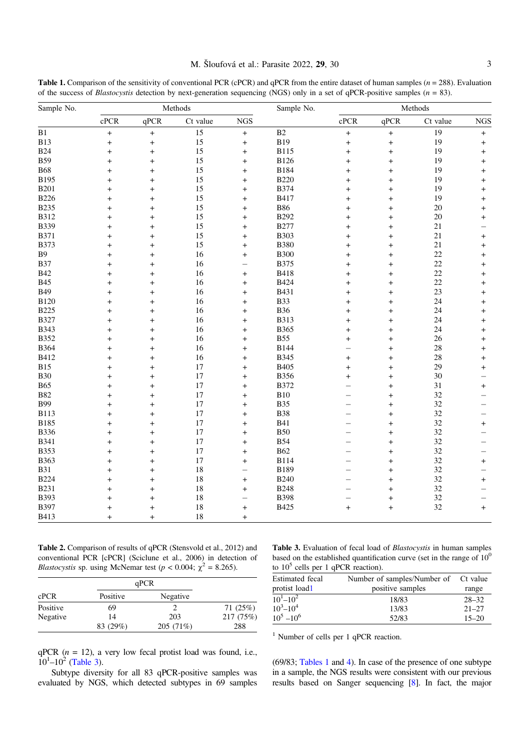<span id="page-2-0"></span>**Table 1.** Comparison of the sensitivity of conventional PCR (cPCR) and qPCR from the entire dataset of human samples  $(n = 288)$ . Evaluation of the success of *Blastocystis* detection by next-generation sequencing (NGS) only in a set of qPCR-positive samples ( $n = 83$ ).

| Sample No.  | Methods   |                  |          |                          | Sample No.  | Methods                  |           |          |            |
|-------------|-----------|------------------|----------|--------------------------|-------------|--------------------------|-----------|----------|------------|
|             | cPCR      | qPCR             | Ct value | <b>NGS</b>               |             | cPCR                     | qPCR      | Ct value | <b>NGS</b> |
| B1          | $\ddot{}$ | $\boldsymbol{+}$ | 15       | $^{+}$                   | B2          | $\ddot{}$                | $\ddot{}$ | 19       | $^{+}$     |
| <b>B13</b>  | $\ddot{}$ | $\ddot{}$        | 15       | $\ddot{}$                | <b>B19</b>  | $\ddot{}$                | $\ddot{}$ | 19       | $\ddot{}$  |
| <b>B24</b>  | $\ddot{}$ | $\ddot{}$        | 15       | $\ddot{}$                | <b>B115</b> | $\ddot{}$                | $\ddot{}$ | 19       | $\ddot{}$  |
| <b>B59</b>  | $\ddot{}$ | $^{+}$           | 15       | $\ddot{}$                | <b>B126</b> | $\ddot{}$                | $^{+}$    | 19       | $\ddot{}$  |
| <b>B68</b>  | $\ddot{}$ | $^{+}$           | 15       | $\ddot{}$                | <b>B184</b> | $\ddot{}$                | $^{+}$    | 19       | $^{+}$     |
| B195        | $\ddot{}$ | $\ddot{}$        | 15       | $\ddot{}$                | <b>B220</b> | $+$                      | $\ddot{}$ | 19       | $\ddot{}$  |
| <b>B201</b> | $\ddot{}$ | $\ddot{}$        | 15       | $\ddot{}$                | <b>B374</b> | $\ddot{}$                | $^{+}$    | 19       | $\ddot{}$  |
| <b>B226</b> | $\ddot{}$ | $^{+}$           | 15       | $\ddot{}$                | B417        | $\ddot{}$                | $^{+}$    | 19       | $^{+}$     |
| <b>B235</b> | $\ddot{}$ | $\ddot{}$        | 15       | $\ddot{}$                | <b>B86</b>  | $\ddot{}$                | $\ddot{}$ | 20       | $\ddot{}$  |
| <b>B312</b> | $\ddot{}$ | $\ddot{}$        | 15       | $\ddot{}$                | <b>B292</b> | $\ddot{}$                | $\ddot{}$ | 20       | $\ddot{}$  |
| <b>B339</b> | $\ddot{}$ | $\ddot{}$        | 15       | $\ddot{}$                | <b>B277</b> | $\ddot{}$                | $^{+}$    | 21       |            |
| <b>B371</b> | $\ddot{}$ | $\ddot{}$        | 15       | $\ddot{}$                | <b>B303</b> | $\ddot{}$                | $^{+}$    | 21       | $^{+}$     |
| <b>B373</b> | $\ddot{}$ | $\ddot{}$        | 15       | $\ddot{}$                | <b>B380</b> | $\ddot{}$                | $\ddot{}$ | 21       | $\ddot{}$  |
| B9          | $\ddot{}$ | $\ddot{}$        | 16       | $\ddot{}$                | <b>B300</b> | $\ddot{}$                | $\ddot{}$ | 22       | $^{+}$     |
| <b>B37</b>  | $\ddot{}$ | $\ddot{}$        | 16       | $\overline{\phantom{0}}$ | <b>B375</b> | $+$                      | $\ddot{}$ | 22       | $\ddot{}$  |
| <b>B42</b>  | $\ddot{}$ | $\ddot{}$        | 16       | $\ddot{}$                | <b>B418</b> | $\ddot{}$                | $^{+}$    | 22       | $\ddot{}$  |
| <b>B45</b>  | $\ddot{}$ | $\ddot{}$        | 16       | $\ddot{}$                | <b>B424</b> | $\ddot{}$                | $^{+}$    | 22       | $\ddot{}$  |
| <b>B49</b>  | $\ddot{}$ | $\ddot{}$        | 16       | $\ddot{}$                | B431        | $\ddot{}$                | $\ddot{}$ | 23       | $+$        |
| <b>B120</b> | $\ddot{}$ | $\ddot{}$        | 16       | $\ddot{}$                | <b>B33</b>  | $\ddot{}$                | $\ddot{}$ | 24       | $\ddot{}$  |
| <b>B225</b> | $\ddot{}$ | $^{+}$           | 16       | $\ddot{}$                | <b>B36</b>  | $\ddot{}$                | $^{+}$    | 24       | $\ddot{}$  |
| <b>B327</b> | $\ddot{}$ | $\ddot{}$        | 16       | $\ddot{}$                | <b>B313</b> | $\ddot{}$                | $\ddot{}$ | 24       | $\ddot{}$  |
| <b>B343</b> | $\ddot{}$ | $\ddot{}$        | 16       | $\ddot{}$                | B365        | $\ddot{}$                | $\ddot{}$ | 24       | $\ddot{}$  |
| <b>B352</b> | $\ddot{}$ | $\ddot{}$        | 16       | $\ddot{}$                | <b>B55</b>  | $\ddot{}$                | $\ddot{}$ | 26       | $\ddot{}$  |
| <b>B364</b> | $\ddot{}$ | $+$              | 16       | $\ddot{}$                | <b>B144</b> |                          | $+$       | 28       | $+$        |
| B412        | $\ddot{}$ | $\ddot{}$        | 16       | $\ddot{}$                | <b>B345</b> | $\ddot{}$                | $^{+}$    | 28       | $+$        |
| <b>B15</b>  | $\ddot{}$ | $\ddot{}$        | 17       | $\ddot{}$                | B405        | $\ddot{}$                | $\ddot{}$ | 29       | $^{+}$     |
| <b>B30</b>  | $\ddot{}$ | $\ddot{}$        | 17       | $\ddot{}$                | <b>B356</b> | $+$                      | $\ddot{}$ | 30       |            |
| <b>B65</b>  | $\ddot{}$ | $\ddot{}$        | 17       | $\ddot{}$                | <b>B372</b> | $\overline{\phantom{0}}$ | $^{+}$    | 31       | $+$        |
| <b>B82</b>  | $\ddot{}$ | $^{+}$           | $17\,$   | $\ddot{}$                | B10         | $\overline{\phantom{0}}$ | $^{+}$    | 32       |            |
| <b>B99</b>  | $\ddot{}$ | $\ddot{}$        | 17       | $\ddot{}$                | <b>B35</b>  | $\overline{\phantom{0}}$ | $\ddot{}$ | 32       |            |
| <b>B113</b> | $\ddot{}$ | $\ddot{}$        | 17       | $\ddot{}$                | <b>B38</b>  | $\overline{\phantom{0}}$ | $\ddot{}$ | 32       |            |
| <b>B185</b> | $\ddot{}$ | $\ddot{}$        | 17       | $\ddot{}$                | <b>B41</b>  | $\overline{\phantom{0}}$ | $\ddot{}$ | 32       | $\ddot{}$  |
| <b>B336</b> | $\ddot{}$ | $\ddot{}$        | 17       | $\ddot{}$                | <b>B50</b>  | <u>.</u>                 | $^{+}$    | 32       |            |
| <b>B341</b> | $\ddot{}$ | $\ddot{}$        | 17       | $\ddot{}$                | <b>B54</b>  | $\overline{\phantom{0}}$ | $\ddot{}$ | 32       |            |
| <b>B353</b> | $\ddot{}$ | $\ddot{}$        | 17       | $\ddot{}$                | <b>B62</b>  |                          | $\ddot{}$ | 32       |            |
| B363        | $\ddot{}$ | $\ddot{}$        | 17       | $\ddot{}$                | <b>B114</b> | $\overline{\phantom{0}}$ | $\ddot{}$ | 32       | $+$        |
| <b>B31</b>  | $\ddot{}$ | $\ddot{}$        | 18       | $\overline{\phantom{0}}$ | <b>B189</b> | $\overline{\phantom{0}}$ | $^{+}$    | 32       |            |
| <b>B224</b> | $\ddot{}$ | $\ddot{}$        | $18\,$   | $\ddot{}$                | <b>B240</b> |                          | $\ddot{}$ | 32       | $^{+}$     |
| <b>B231</b> | $\ddot{}$ | $\ddot{}$        | 18       | $\ddot{}$                | <b>B248</b> | $\overline{\phantom{0}}$ | $\ddot{}$ | 32       |            |
| <b>B393</b> | $\ddot{}$ | $\ddot{}$        | 18       | $\overline{\phantom{0}}$ | <b>B398</b> | -                        | $\ddot{}$ | 32       |            |
| <b>B397</b> | $\ddot{}$ | $^{+}$           | $18\,$   | $\ddot{}$                | B425        | $\ddot{}$                | $^{+}$    | 32       | $^{+}$     |
| B413        | $\ddot{}$ | $+$              | 18       | $\ddot{}$                |             |                          |           |          |            |

Table 2. Comparison of results of qPCR (Stensvold et al., 2012) and conventional PCR [cPCR] (Sciclune et al., 2006) in detection of Blastocystis sp. using McNemar test ( $p < 0.004$ ;  $\chi^2 = 8.265$ ).

|          | qPCR     |          |           |
|----------|----------|----------|-----------|
| cPCR     | Positive | Negative |           |
| Positive | 69       |          | 71(25%)   |
| Negative | 14       | 203      | 217 (75%) |
|          | 83 (29%) | 205(71%) | 288       |

Table 3. Evaluation of fecal load of *Blastocystis* in human samples based on the established quantification curve (set in the range of  $10<sup>0</sup>$ to  $10^5$  cells per 1 qPCR reaction).

| Estimated fecal   | Number of samples/Number of Ct value |           |
|-------------------|--------------------------------------|-----------|
| protist load1     | positive samples                     | range     |
| $10^{1} - 10^{2}$ | 18/83                                | $28 - 32$ |
| $10^3 - 10^4$     | 13/83                                | $21 - 27$ |
| $10^5 - 10^6$     | 52/83                                | $15 - 20$ |

<sup>1</sup> Number of cells per 1 qPCR reaction.

 $qPCR$  ( $n = 12$ ), a very low fecal protist load was found, i.e.,  $10^1 - 10^2$  (Table 3).

Subtype diversity for all 83 qPCR-positive samples was evaluated by NGS, which detected subtypes in 69 samples (69/83; Tables 1 and [4\)](#page-3-0). In case of the presence of one subtype in a sample, the NGS results were consistent with our previous results based on Sanger sequencing [\[8\]](#page-5-0). In fact, the major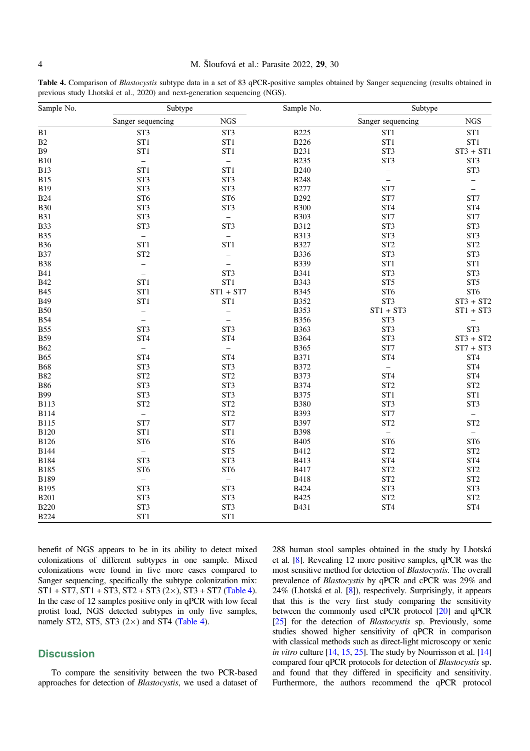### <span id="page-3-0"></span>4 M. Šloufová et al.: Parasite 2022, 29, 30

Table 4. Comparison of Blastocystis subtype data in a set of 83 qPCR-positive samples obtained by Sanger sequencing (results obtained in previous study Lhotská et al., 2020) and next-generation sequencing (NGS).

| Sample No.  | Subtype                  |                      | Sample No.  | Subtype           |                          |
|-------------|--------------------------|----------------------|-------------|-------------------|--------------------------|
|             | Sanger sequencing        | <b>NGS</b>           |             | Sanger sequencing | <b>NGS</b>               |
| B1          | ST <sub>3</sub>          | ST <sub>3</sub>      | <b>B225</b> | ST <sub>1</sub>   | ST <sub>1</sub>          |
| B2          | ST <sub>1</sub>          | ST <sub>1</sub>      | <b>B226</b> | ST <sub>1</sub>   | ST <sub>1</sub>          |
| <b>B</b> 9  | ST <sub>1</sub>          | ST <sub>1</sub>      | <b>B231</b> | ST <sub>3</sub>   | $ST3 + ST1$              |
| <b>B10</b>  | $\equiv$                 | $\equiv$             | <b>B235</b> | ST <sub>3</sub>   | ST <sub>3</sub>          |
| <b>B13</b>  | ST <sub>1</sub>          | ST1                  | <b>B240</b> | $\qquad \qquad -$ | ST <sub>3</sub>          |
| <b>B15</b>  | ST <sub>3</sub>          | ST <sub>3</sub>      | <b>B248</b> | $\bar{ }$         |                          |
| <b>B19</b>  | ST <sub>3</sub>          | ST <sub>3</sub>      | <b>B277</b> | ST7               | $\qquad \qquad -$        |
| <b>B24</b>  | ST <sub>6</sub>          | ST <sub>6</sub>      | <b>B292</b> | ST7               | ST7                      |
| <b>B30</b>  | ST <sub>3</sub>          | ST <sub>3</sub>      | <b>B300</b> | ST <sub>4</sub>   | ST <sub>4</sub>          |
| <b>B31</b>  | ST <sub>3</sub>          | $\equiv$             | <b>B303</b> | ST7               | ST7                      |
| <b>B33</b>  | ST <sub>3</sub>          | ST <sub>3</sub>      | <b>B312</b> | ST <sub>3</sub>   | ST <sub>3</sub>          |
| <b>B35</b>  | $\equiv$                 | $\equiv$             | <b>B313</b> | ST <sub>3</sub>   | ST <sub>3</sub>          |
| <b>B36</b>  | ST <sub>1</sub>          | ST <sub>1</sub>      | <b>B327</b> | ST <sub>2</sub>   | ST <sub>2</sub>          |
| <b>B37</b>  | ST <sub>2</sub>          | $\qquad \qquad -$    | <b>B336</b> | ST <sub>3</sub>   | ST <sub>3</sub>          |
| <b>B38</b>  | $\qquad \qquad -$        | $\equiv$             | <b>B339</b> | ST <sub>1</sub>   | ST <sub>1</sub>          |
| <b>B41</b>  | $\overline{\phantom{m}}$ | ST <sub>3</sub>      | <b>B341</b> | ST <sub>3</sub>   | ST <sub>3</sub>          |
| <b>B42</b>  | ST <sub>1</sub>          | ST <sub>1</sub>      | <b>B343</b> | ST <sub>5</sub>   | ST <sub>5</sub>          |
| <b>B45</b>  | ST <sub>1</sub>          | $ST1 + ST7$          | <b>B345</b> | ST <sub>6</sub>   | ST <sub>6</sub>          |
| <b>B49</b>  | ST <sub>1</sub>          | ST <sub>1</sub>      | <b>B352</b> | ST <sub>3</sub>   | $ST3 + ST2$              |
| <b>B50</b>  | $\overline{\phantom{0}}$ | $\qquad \qquad -$    | <b>B353</b> | $ST1 + ST3$       | $ST1 + ST3$              |
| <b>B54</b>  | $\overline{\phantom{0}}$ | $\equiv$             | <b>B356</b> | ST <sub>3</sub>   | -                        |
| <b>B55</b>  | ST <sub>3</sub>          | ST <sub>3</sub>      | <b>B363</b> | ST <sub>3</sub>   | ST <sub>3</sub>          |
| <b>B59</b>  | ST <sub>4</sub>          | ST <sub>4</sub>      | <b>B364</b> | ST <sub>3</sub>   | $ST3 + ST2$              |
| <b>B62</b>  | $\equiv$                 | $\equiv$             | B365        | ST7               | $ST7 + ST3$              |
| <b>B65</b>  | ST <sub>4</sub>          | ST <sub>4</sub>      | <b>B371</b> | ST <sub>4</sub>   | ST <sub>4</sub>          |
| <b>B68</b>  | ST <sub>3</sub>          | ST <sub>3</sub>      | <b>B372</b> | $\equiv$          | ST <sub>4</sub>          |
| <b>B82</b>  | ST <sub>2</sub>          | $\operatorname{ST2}$ | <b>B373</b> | ST <sub>4</sub>   | ST <sub>4</sub>          |
| <b>B86</b>  | ST <sub>3</sub>          | ST <sub>3</sub>      | <b>B374</b> | ST <sub>2</sub>   | ST <sub>2</sub>          |
| <b>B99</b>  | ST <sub>3</sub>          | ST <sub>3</sub>      | <b>B375</b> | ST1               | ST <sub>1</sub>          |
| <b>B113</b> | ST <sub>2</sub>          | ST <sub>2</sub>      | <b>B380</b> | ST <sub>3</sub>   | ST <sub>3</sub>          |
| <b>B114</b> | $\equiv$                 | ST <sub>2</sub>      | <b>B393</b> | ST7               | $\overline{\phantom{0}}$ |
| <b>B115</b> | ST7                      | ST7                  | <b>B397</b> | ST <sub>2</sub>   | ST <sub>2</sub>          |
| <b>B120</b> | ST <sub>1</sub>          | ST <sub>1</sub>      | <b>B398</b> | $\equiv$          | $\equiv$                 |
| <b>B126</b> | ST <sub>6</sub>          | ST <sub>6</sub>      | <b>B405</b> | ST <sub>6</sub>   | ST <sub>6</sub>          |
| <b>B144</b> | $\qquad \qquad -$        | ST <sub>5</sub>      | B412        | ST <sub>2</sub>   | ST <sub>2</sub>          |
| <b>B184</b> | ST <sub>3</sub>          | ST <sub>3</sub>      | B413        | ST <sub>4</sub>   | ST <sub>4</sub>          |
| B185        | ST <sub>6</sub>          | ST <sub>6</sub>      | B417        | ST <sub>2</sub>   | ST <sub>2</sub>          |
| B189        | $\equiv$                 | $\qquad \qquad -$    | <b>B418</b> | ST <sub>2</sub>   | ST <sub>2</sub>          |
| B195        | ST <sub>3</sub>          | ST <sub>3</sub>      | <b>B424</b> | ST <sub>3</sub>   | ST <sub>3</sub>          |
| <b>B201</b> | ST <sub>3</sub>          | ST <sub>3</sub>      | B425        | ST <sub>2</sub>   | ST <sub>2</sub>          |
| <b>B220</b> | ST <sub>3</sub>          | ST <sub>3</sub>      | B431        | ST <sub>4</sub>   | ST <sub>4</sub>          |
| <b>B224</b> | ST1                      | ST <sub>1</sub>      |             |                   |                          |

benefit of NGS appears to be in its ability to detect mixed colonizations of different subtypes in one sample. Mixed colonizations were found in five more cases compared to Sanger sequencing, specifically the subtype colonization mix:  $ST1 + ST7$ ,  $ST1 + ST3$ ,  $ST2 + ST3$  (2 $\times$ ),  $ST3 + ST7$  (Table 4). In the case of 12 samples positive only in qPCR with low fecal protist load, NGS detected subtypes in only five samples, namely ST2, ST5, ST3  $(2 \times)$  and ST4 (Table 4).

### **Discussion**

To compare the sensitivity between the two PCR-based approaches for detection of Blastocystis, we used a dataset of 288 human stool samples obtained in the study by Lhotská et al. [[8](#page-5-0)]. Revealing 12 more positive samples, qPCR was the most sensitive method for detection of Blastocystis. The overall prevalence of Blastocystis by qPCR and cPCR was 29% and 24% (Lhotská et al. [\[8\]](#page-5-0)), respectively. Surprisingly, it appears that this is the very first study comparing the sensitivity between the commonly used cPCR protocol [\[20\]](#page-5-0) and qPCR [[25](#page-5-0)] for the detection of *Blastocystis* sp. Previously, some studies showed higher sensitivity of qPCR in comparison with classical methods such as direct-light microscopy or xenic in vitro culture [\[14](#page-5-0), [15,](#page-5-0) [25](#page-5-0)]. The study by Nourrisson et al. [\[14\]](#page-5-0) compared four qPCR protocols for detection of Blastocystis sp. and found that they differed in specificity and sensitivity. Furthermore, the authors recommend the qPCR protocol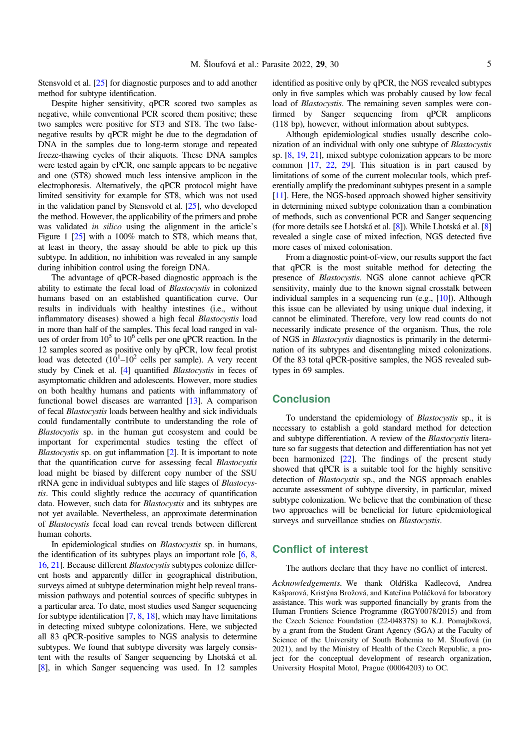Stensvold et al. [\[25](#page-5-0)] for diagnostic purposes and to add another method for subtype identification.

Despite higher sensitivity, qPCR scored two samples as negative, while conventional PCR scored them positive; these two samples were positive for ST3 and ST8. The two falsenegative results by qPCR might be due to the degradation of DNA in the samples due to long-term storage and repeated freeze-thawing cycles of their aliquots. These DNA samples were tested again by cPCR, one sample appears to be negative and one (ST8) showed much less intensive amplicon in the electrophoresis. Alternatively, the qPCR protocol might have limited sensitivity for example for ST8, which was not used in the validation panel by Stensvold et al. [\[25](#page-5-0)], who developed the method. However, the applicability of the primers and probe was validated *in silico* using the alignment in the article's Figure 1 [\[25\]](#page-5-0) with a 100% match to ST8, which means that, at least in theory, the assay should be able to pick up this subtype. In addition, no inhibition was revealed in any sample during inhibition control using the foreign DNA.

The advantage of qPCR-based diagnostic approach is the ability to estimate the fecal load of Blastocystis in colonized humans based on an established quantification curve. Our results in individuals with healthy intestines (i.e., without inflammatory diseases) showed a high fecal Blastocystis load in more than half of the samples. This fecal load ranged in values of order from  $10^5$  to  $10^6$  cells per one qPCR reaction. In the 12 samples scored as positive only by qPCR, low fecal protist load was detected  $(10^1 - 10^2$  cells per sample). A very recent study by Cinek et al. [\[4\]](#page-5-0) quantified Blastocystis in feces of asymptomatic children and adolescents. However, more studies on both healthy humans and patients with inflammatory of functional bowel diseases are warranted [\[13](#page-5-0)]. A comparison of fecal Blastocystis loads between healthy and sick individuals could fundamentally contribute to understanding the role of Blastocystis sp. in the human gut ecosystem and could be important for experimental studies testing the effect of Blastocystis sp. on gut inflammation [[2\]](#page-5-0). It is important to note that the quantification curve for assessing fecal Blastocystis load might be biased by different copy number of the SSU rRNA gene in individual subtypes and life stages of Blastocystis. This could slightly reduce the accuracy of quantification data. However, such data for *Blastocystis* and its subtypes are not yet available. Nevertheless, an approximate determination of Blastocystis fecal load can reveal trends between different human cohorts.

In epidemiological studies on Blastocystis sp. in humans, the identification of its subtypes plays an important role  $[6, 8, 8]$  $[6, 8, 8]$  $[6, 8, 8]$  $[6, 8, 8]$  $[6, 8, 8]$ [16](#page-5-0), [21\]](#page-5-0). Because different Blastocystis subtypes colonize different hosts and apparently differ in geographical distribution, surveys aimed at subtype determination might help reveal transmission pathways and potential sources of specific subtypes in a particular area. To date, most studies used Sanger sequencing for subtype identification [\[7](#page-5-0), [8,](#page-5-0) [18](#page-5-0)], which may have limitations in detecting mixed subtype colonizations. Here, we subjected all 83 qPCR-positive samples to NGS analysis to determine subtypes. We found that subtype diversity was largely consistent with the results of Sanger sequencing by Lhotská et al. [[8](#page-5-0)], in which Sanger sequencing was used. In 12 samples identified as positive only by qPCR, the NGS revealed subtypes only in five samples which was probably caused by low fecal load of *Blastocystis*. The remaining seven samples were confirmed by Sanger sequencing from qPCR amplicons (118 bp), however, without information about subtypes.

Although epidemiological studies usually describe colonization of an individual with only one subtype of Blastocystis sp. [[8,](#page-5-0) [19,](#page-5-0) [21\]](#page-5-0), mixed subtype colonization appears to be more common [\[17,](#page-5-0) [22](#page-5-0), [29\]](#page-6-0). This situation is in part caused by limitations of some of the current molecular tools, which preferentially amplify the predominant subtypes present in a sample [[11](#page-5-0)]. Here, the NGS-based approach showed higher sensitivity in determining mixed subtype colonization than a combination of methods, such as conventional PCR and Sanger sequencing (for more details see Lhotská et al. [[8\]](#page-5-0)). While Lhotská et al. [[8\]](#page-5-0) revealed a single case of mixed infection, NGS detected five more cases of mixed colonisation.

From a diagnostic point-of-view, our results support the fact that qPCR is the most suitable method for detecting the presence of Blastocystis. NGS alone cannot achieve qPCR sensitivity, mainly due to the known signal crosstalk between individual samples in a sequencing run (e.g., [\[10\]](#page-5-0)). Although this issue can be alleviated by using unique dual indexing, it cannot be eliminated. Therefore, very low read counts do not necessarily indicate presence of the organism. Thus, the role of NGS in Blastocystis diagnostics is primarily in the determination of its subtypes and disentangling mixed colonizations. Of the 83 total qPCR-positive samples, the NGS revealed subtypes in 69 samples.

### **Conclusion**

To understand the epidemiology of Blastocystis sp., it is necessary to establish a gold standard method for detection and subtype differentiation. A review of the Blastocystis literature so far suggests that detection and differentiation has not yet been harmonized [[22](#page-5-0)]. The findings of the present study showed that qPCR is a suitable tool for the highly sensitive detection of Blastocystis sp., and the NGS approach enables accurate assessment of subtype diversity, in particular, mixed subtype colonization. We believe that the combination of these two approaches will be beneficial for future epidemiological surveys and surveillance studies on Blastocystis.

### Conflict of interest

The authors declare that they have no conflict of interest.

Acknowledgements. We thank Oldřiška Kadlecová, Andrea Kašparová, Kristýna Brožová, and Kateřina Poláčková for laboratory assistance. This work was supported financially by grants from the Human Frontiers Science Programme (RGY0078/2015) and from the Czech Science Foundation (22-04837S) to K.J. Pomajbíková, by a grant from the Student Grant Agency (SGA) at the Faculty of Science of the University of South Bohemia to M. Šloufová (in 2021), and by the Ministry of Health of the Czech Republic, a project for the conceptual development of research organization, University Hospital Motol, Prague (00064203) to OC.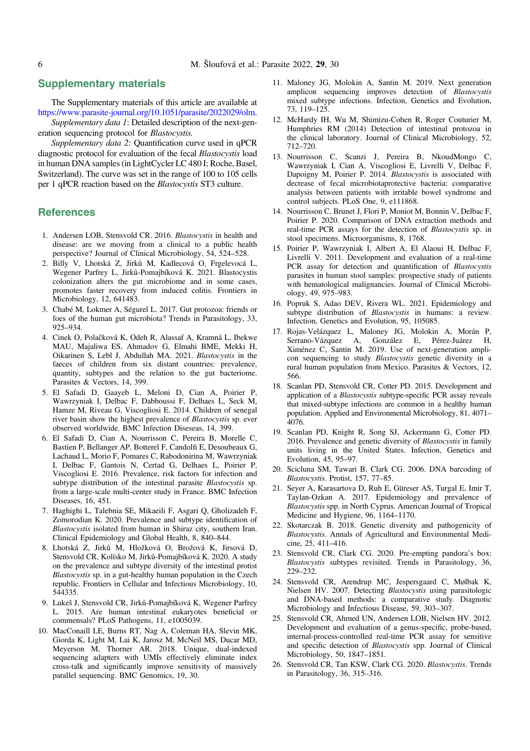### <span id="page-5-0"></span>Supplementary materials

The Supplementary materials of this article are available at <https://www.parasite-journal.org/10.1051/parasite/2022029/olm>.

Supplementary data 1: Detailed description of the next-generation sequencing protocol for Blastocystis.

Supplementary data 2: Quantification curve used in qPCR diagnostic protocol for evaluation of the fecal Blastocystis load in human DNA samples (in LightCycler LC 480 I; Roche, Basel, Switzerland). The curve was set in the range of 100 to 105 cells per 1 qPCR reaction based on the Blastocystis ST3 culture.

#### References

- 1. Andersen LOB, Stensvold CR. 2016. Blastocystis in health and disease: are we moving from a clinical to a public health perspective? Journal of Clinical Microbiology, 54, 524–528.
- 2. Billy V, Lhotská Z, Jirků M, Kadlecová O, Frgelevocá L, Wegener Parfrey L, Jirků-Pomajbíková K. 2021. Blastocystis colonization alters the gut microbiome and in some cases, promotes faster recovery from induced colitis. Frontiers in Microbiology, 12, 641483.
- 3. Chabé M, Lokmer A, Ségurel L. 2017. Gut protozoa: friends or foes of the human gut microbiota? Trends in Parasitology, 33, 925–934.
- 4. Cinek O, Polačková K, Odeh R, Alassaf A, Kramná L, Ibekwe MAU, Majaliwa ES, Ahmadov G, Elmahi BME, Mekki H, Oikarinen S, Lebl J, Abdullah MA. 2021. Blastocystis in the faeces of children from six distant countries: prevalence, quantity, subtypes and the relation to the gut bacteriome. Parasites & Vectors, 14, 399.
- 5. El Safadi D, Gaayeb L, Meloni D, Cian A, Poirier P, Wawrzyniak I, Delbac F, Dabboussi F, Delhaes L, Seck M, Hamze M, Riveau G, Viscogliosi E. 2014. Children of senegal river basin show the highest prevalence of Blastocystis sp. ever observed worldwide. BMC Infection Diseseas, 14, 399.
- 6. El Safadi D, Cian A, Nourrisson C, Pereira B, Morelle C, Bastien P, Bellanger AP, Botterel F, Candolfi E, Desoubeaux G, Lachaud L, Morio F, Pomares C, Rabodonirina M, Wawrzyniak I, Delbac F, Gantois N, Certad G, Delhaes L, Poirier P, Viscogliosi E. 2016. Prevalence, risk factors for infection and subtype distribution of the intestinal parasite *Blastocystis* sp. from a large-scale multi-center study in France. BMC Infection Diseases, 16, 451.
- 7. Haghighi L, Talebnia SE, Mikaeili F, Asgari Q, Gholizadeh F, Zomorodian K. 2020. Prevalence and subtype identification of Blastocystis isolated from human in Shiraz city, southern Iran. Clinical Epidemiology and Global Health, 8, 840–844.
- 8. Lhotská Z, Jirků M, Hložková O, Brožová K, Jirsová D, Stensvold CR, Kolísko M, Jirků-Pomajbíková K. 2020. A study on the prevalence and subtype diversity of the intestinal protist Blastocystis sp. in a gut-healthy human population in the Czech republic. Frontiers in Cellular and Infectious Microbiology, 10, 544335.
- 9. Lukeš J, Stensvold CR, Jirků-Pomajbíková K, Wegener Parfrey L. 2015. Are human intestinal eukaryotes beneficial or commensals? PLoS Pathogens, 11, e1005039.
- 10. MacConaill LE, Burns RT, Nag A, Coleman HA, Slevin MK, Giorda K, Light M, Lai K, Jarosz M, McNeil MS, Ducar MD, Meyerson M, Thorner AR. 2018. Unique, dual-indexed sequencing adapters with UMIs effectively eliminate index cross-talk and significantly improve sensitivity of massively parallel sequencing. BMC Genomics, 19, 30.
- 11. Maloney JG, Molokin A, Santin M. 2019. Next generation amplicon sequencing improves detection of Blastocystis mixed subtype infections. Infection, Genetics and Evolution, 73, 119–125.
- 12. McHardy IH, Wu M, Shimizu-Cohen R, Roger Couturier M, Humphries RM (2014) Detection of intestinal protozoa in the clinical laboratory. Journal of Clinical Microbiology, 52, 712–720.
- 13. Nourrisson C, Scanzi J, Pereira B, NkoudMongo C, Wawrzyniak I, Cian A, Viscogliosi E, Livrelli V, Delbac F, Dapoigny M, Poirier P. 2014. Blastocystis is associated with decrease of fecal microbiotaprotective bacteria: comparative analysis between patients with irritable bowel syndrome and control subjects. PLoS One, 9, e111868.
- 14. Nourrisson C, Brunet J, Flori P, Moniot M, Bonnin V, Delbac F, Poirier P. 2020. Comparison of DNA extraction methods and real-time PCR assays for the detection of Blastocystis sp. in stool specimens. Microorganisms, 8, 1768.
- 15. Poirier P, Wawrzyniak I, Albert A, El Alaoui H, Delbac F, Livrelli V. 2011. Development and evaluation of a real-time PCR assay for detection and quantification of Blastocystis parasites in human stool samples: prospective study of patients with hematological malignancies. Journal of Clinical Microbiology, 49, 975–983.
- 16. Popruk S, Adao DEV, Rivera WL. 2021. Epidemiology and subtype distribution of *Blastocystis* in humans: a review. Infection, Genetics and Evolution, 95, 105085.
- 17. Rojas-Velázquez L, Maloney JG, Molokin A, Morán P, Serrano-Vázquez A, González E, Pérez-Juárez H, Ximénez C, Santin M. 2019. Use of next-generation amplicon sequencing to study Blastocystis genetic diversity in a rural human population from Mexico. Parasites & Vectors, 12, 566.
- 18. Scanlan PD, Stensvold CR, Cotter PD. 2015. Development and application of a Blastocystis subtype-specific PCR assay reveals that mixed-subtype infections are common in a healthy human population. Applied and Environmental Microbiology, 81, 4071– 4076.
- 19. Scanlan PD, Knight R, Song SJ, Ackermann G, Cotter PD. 2016. Prevalence and genetic diversity of Blastocystis in family units living in the United States. Infection, Genetics and Evolution, 45, 95–97.
- 20. Scicluna SM, Tawari B, Clark CG. 2006. DNA barcoding of Blastocystis. Protist, 157, 77–85.
- 21. Seyer A, Karasartova D, Ruh E, Güreser AS, Turgal E, Imir T, Taylan-Ozkan A. 2017. Epidemiology and prevalence of Blastocystis spp. in North Cyprus. American Journal of Tropical Medicine and Hygiene, 96, 1164–1170.
- 22. Skotarczak B. 2018. Genetic diversity and pathogenicity of Blastocystis. Annals of Agricultural and Environmental Medicine, 25, 411–416.
- 23. Stensvold CR, Clark CG. 2020. Pre-empting pandora's box: Blastocystis subtypes revisited. Trends in Parasitology, 36, 229–232.
- 24. Stensvold CR, Arendrup MC, Jespersgaard C, Mølbak K, Nielsen HV. 2007. Detecting Blastocystis using parasitologic and DNA-based methods: a comparative study. Diagnotic Microbiology and Infectious Disease, 59, 303-307.
- 25. Stensvold CR, Ahmed UN, Andersen LOB, Nielsen HV. 2012. Development and evaluation of a genus-specific, probe-based, internal-process-controlled real-time PCR assay for sensitive and specific detection of Blastocystis spp. Journal of Clinical Microbiology, 50, 1847–1851.
- 26. Stensvold CR, Tan KSW, Clark CG. 2020. Blastocystis. Trends in Parasitology, 36, 315–316.